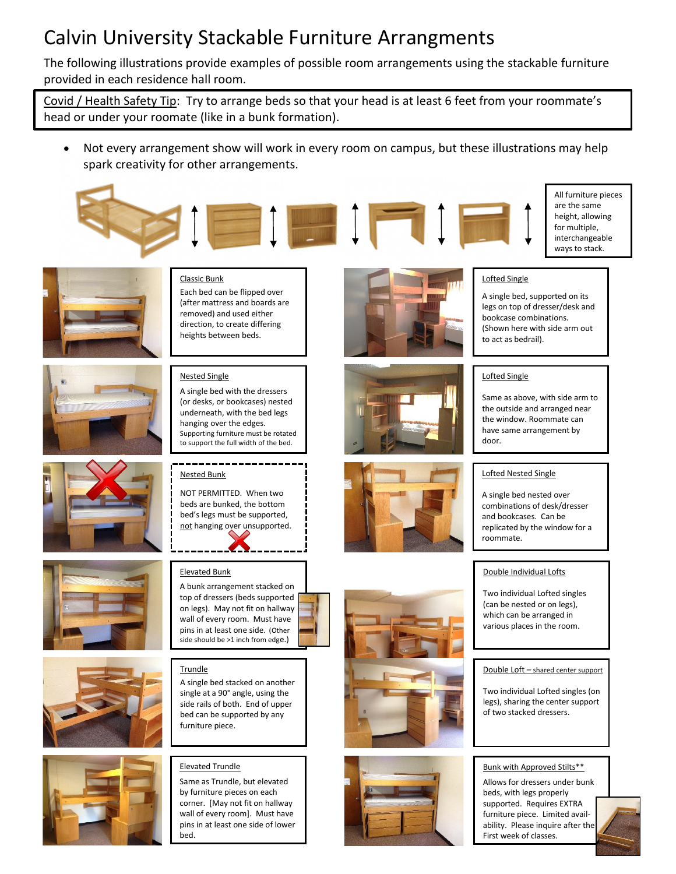## Calvin University Stackable Furniture Arrangments

The following illustrations provide examples of possible room arrangements using the stackable furniture provided in each residence hall room.

Covid / Health Safety Tip: Try to arrange beds so that your head is at least 6 feet from your roommate's head or under your roomate (like in a bunk formation).

• Not every arrangement show will work in every room on campus, but these illustrations may help spark creativity for other arrangements.









All furniture pieces are the same height, allowing for multiple, interchangeable ways to stack.



Classic Bunk Each bed can be flipped over (after mattress and boards are removed) and used either direction, to create differing heights between beds.

#### Nested Single

A single bed with the dressers (or desks, or bookcases) nested underneath, with the bed legs hanging over the edges. Supporting furniture must be rotated to support the full width of the bed.

Nested Bunk

NOT PERMITTED. When two beds are bunked, the bottom bed's legs must be supported, not hanging over unsupported.

#### Elevated Bunk

A bunk arrangement stacked on top of dressers (beds supported on legs). May not fit on hallway wall of every room. Must have pins in at least one side. (Other side should be >1 inch from edge.)

#### **Trundle**

A single bed stacked on another single at a 90° angle, using the side rails of both. End of upper bed can be supported by any furniture piece.

#### Elevated Trundle

Same as Trundle, but elevated by furniture pieces on each corner. [May not fit on hallway wall of every room]. Must have pins in at least one side of lower bed.







### bookcase combinations.

Lofted Single

(Shown here with side arm out to act as bedrail).

A single bed, supported on its legs on top of dresser/desk and

#### Lofted Single

Same as above, with side arm to the outside and arranged near the window. Roommate can have same arrangement by door.

#### Lofted Nested Single

A single bed nested over combinations of desk/dresser and bookcases. Can be replicated by the window for a roommate.

#### Double Individual Lofts

Two individual Lofted singles (can be nested or on legs), which can be arranged in various places in the room.

#### Double Loft – shared center support

Two individual Lofted singles (on legs), sharing the center support of two stacked dressers.

#### Bunk with Approved Stilts\*\*

Allows for dressers under bunk beds, with legs properly supported. Requires EXTRA furniture piece. Limited availability. Please inquire after the First week of classes.